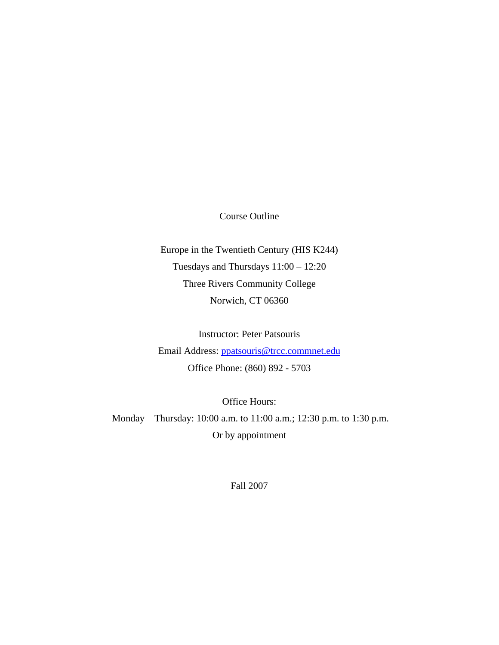Course Outline

Europe in the Twentieth Century (HIS K244) Tuesdays and Thursdays 11:00 – 12:20 Three Rivers Community College Norwich, CT 06360

Instructor: Peter Patsouris Email Address: [ppatsouris@trcc.commnet.edu](mailto:ppatsouris@trcc.commnet.edu) Office Phone: (860) 892 - 5703

Office Hours: Monday – Thursday: 10:00 a.m. to 11:00 a.m.; 12:30 p.m. to 1:30 p.m. Or by appointment

Fall 2007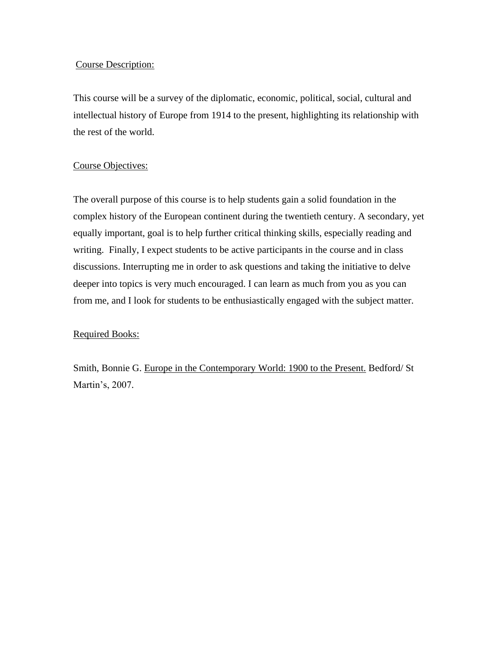## Course Description:

This course will be a survey of the diplomatic, economic, political, social, cultural and intellectual history of Europe from 1914 to the present, highlighting its relationship with the rest of the world.

## Course Objectives:

The overall purpose of this course is to help students gain a solid foundation in the complex history of the European continent during the twentieth century. A secondary, yet equally important, goal is to help further critical thinking skills, especially reading and writing. Finally, I expect students to be active participants in the course and in class discussions. Interrupting me in order to ask questions and taking the initiative to delve deeper into topics is very much encouraged. I can learn as much from you as you can from me, and I look for students to be enthusiastically engaged with the subject matter.

## Required Books:

Smith, Bonnie G. Europe in the Contemporary World: 1900 to the Present. Bedford/ St Martin's, 2007.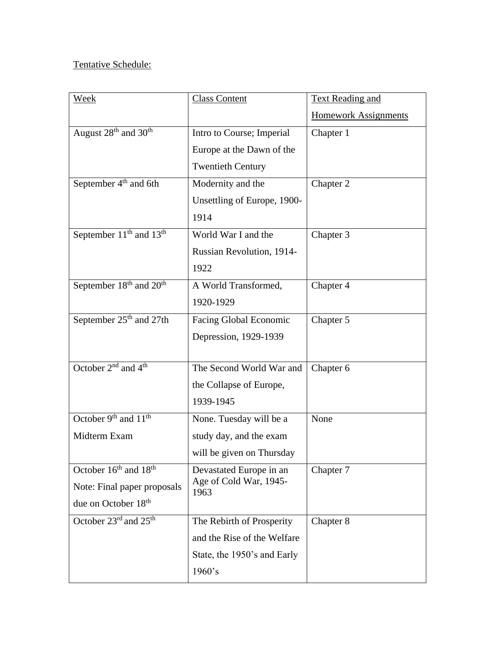# Tentative Schedule:

| Week                                            | <b>Class Content</b>           | <b>Text Reading and</b>     |
|-------------------------------------------------|--------------------------------|-----------------------------|
|                                                 |                                | <b>Homework Assignments</b> |
| August 28 <sup>th</sup> and 30 <sup>th</sup>    | Intro to Course; Imperial      | Chapter 1                   |
|                                                 | Europe at the Dawn of the      |                             |
|                                                 | <b>Twentieth Century</b>       |                             |
| September 4 <sup>th</sup> and 6th               | Modernity and the              | Chapter 2                   |
|                                                 | Unsettling of Europe, 1900-    |                             |
|                                                 | 1914                           |                             |
| September $11th$ and $13th$                     | World War I and the            | Chapter 3                   |
|                                                 | Russian Revolution, 1914-      |                             |
|                                                 | 1922                           |                             |
| September 18 <sup>th</sup> and 20 <sup>th</sup> | A World Transformed,           | Chapter 4                   |
|                                                 | 1920-1929                      |                             |
| September 25 <sup>th</sup> and 27th             | Facing Global Economic         | Chapter 5                   |
|                                                 | Depression, 1929-1939          |                             |
|                                                 |                                |                             |
| October 2 <sup>nd</sup> and 4 <sup>th</sup>     | The Second World War and       | Chapter 6                   |
|                                                 | the Collapse of Europe,        |                             |
|                                                 | 1939-1945                      |                             |
| October 9 <sup>th</sup> and 11 <sup>th</sup>    | None. Tuesday will be a        | None                        |
| Midterm Exam                                    | study day, and the exam        |                             |
|                                                 | will be given on Thursday      |                             |
| October 16 <sup>th</sup> and 18 <sup>th</sup>   | Devastated Europe in an        | Chapter 7                   |
| Note: Final paper proposals                     | Age of Cold War, 1945-<br>1963 |                             |
| due on October 18 <sup>th</sup>                 |                                |                             |
| October 23 <sup>rd</sup> and 25 <sup>th</sup>   | The Rebirth of Prosperity      | Chapter 8                   |
|                                                 | and the Rise of the Welfare    |                             |
|                                                 | State, the 1950's and Early    |                             |
|                                                 | 1960's                         |                             |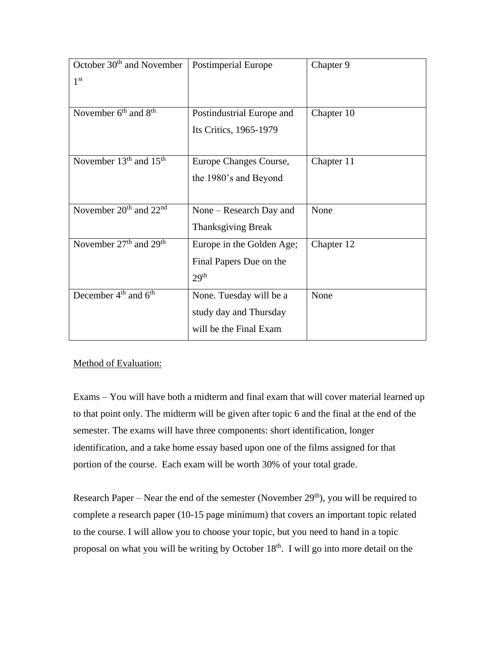| October 30 <sup>th</sup> and November          | <b>Postimperial Europe</b> | Chapter 9  |
|------------------------------------------------|----------------------------|------------|
| 1 <sup>st</sup>                                |                            |            |
|                                                |                            |            |
| November $6th$ and $8th$                       | Postindustrial Europe and  | Chapter 10 |
|                                                | Its Critics, 1965-1979     |            |
|                                                |                            |            |
| November $13th$ and $15th$                     | Europe Changes Course,     | Chapter 11 |
|                                                | the 1980's and Beyond      |            |
|                                                |                            |            |
| November $20th$ and $22nd$                     | None – Research Day and    | None       |
|                                                | <b>Thanksgiving Break</b>  |            |
| November 27 <sup>th</sup> and 29 <sup>th</sup> | Europe in the Golden Age;  | Chapter 12 |
|                                                | Final Papers Due on the    |            |
|                                                | 29 <sup>th</sup>           |            |
| December $4th$ and $6th$                       | None. Tuesday will be a    | None       |
|                                                | study day and Thursday     |            |
|                                                | will be the Final Exam     |            |

Method of Evaluation:

Exams – You will have both a midterm and final exam that will cover material learned up to that point only. The midterm will be given after topic 6 and the final at the end of the semester. The exams will have three components: short identification, longer identification, and a take home essay based upon one of the films assigned for that portion of the course. Each exam will be worth 30% of your total grade.

Research Paper – Near the end of the semester (November  $29<sup>th</sup>$ ), you will be required to complete a research paper (10-15 page minimum) that covers an important topic related to the course. I will allow you to choose your topic, but you need to hand in a topic proposal on what you will be writing by October 18<sup>th</sup>. I will go into more detail on the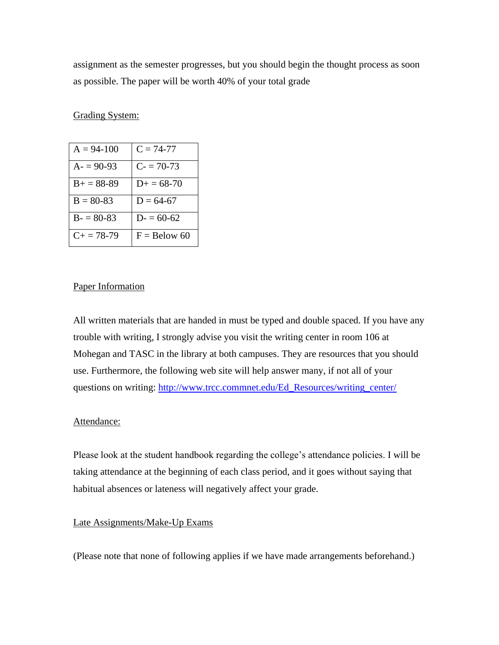assignment as the semester progresses, but you should begin the thought process as soon as possible. The paper will be worth 40% of your total grade

## Grading System:

| $A = 94-100$      | $C = 74-77$         |
|-------------------|---------------------|
| $A = 90-93$       | $C = 70-73$         |
| $B+=88-89$        | $D_{\pm} = 68 - 70$ |
| $B = 80-83$       | $D = 64-67$         |
| $B = 80-83$       | $D = 60-62$         |
| $C_{\pm} = 78-79$ | $F =$ Below 60      |

#### Paper Information

All written materials that are handed in must be typed and double spaced. If you have any trouble with writing, I strongly advise you visit the writing center in room 106 at Mohegan and TASC in the library at both campuses. They are resources that you should use. Furthermore, the following web site will help answer many, if not all of your questions on writing: [http://www.trcc.commnet.edu/Ed\\_Resources/writing\\_center/](http://www.trcc.commnet.edu/Ed_Resources/writing_center/)

#### Attendance:

Please look at the student handbook regarding the college's attendance policies. I will be taking attendance at the beginning of each class period, and it goes without saying that habitual absences or lateness will negatively affect your grade.

#### Late Assignments/Make-Up Exams

(Please note that none of following applies if we have made arrangements beforehand.)